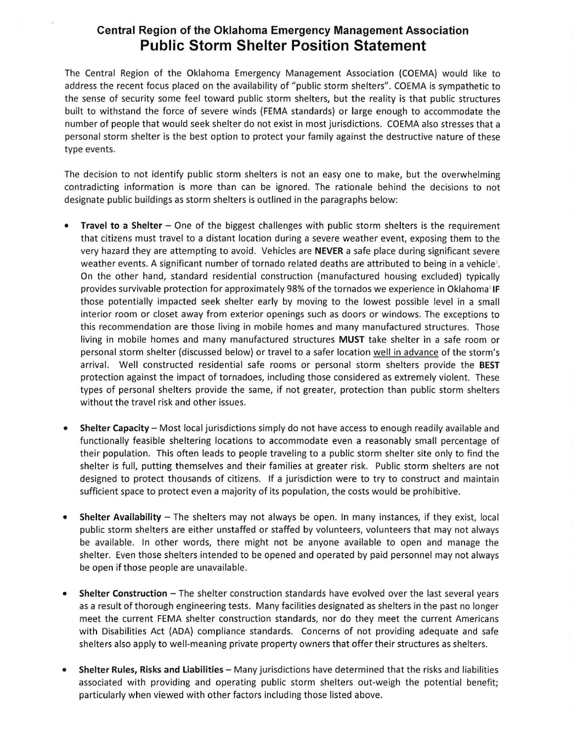## **Central Region of the Oklahoma Emergency Management Association Public Storm Shelter Position Statement**

The Central Region of the Oklahoma Emergency Management Association (COEMA) would like to address the recent focus placed on the availability of "public storm shelters". COEMA is sympathetic to the sense of security some feel toward public storm shelters, but the reality is that public structures built to withstand the force of severe winds (FEMA standards) or large enough to accommodate the number of people that would seek shelter do not exist in most jurisdictions. COEMA also stresses that a personal storm shelter is the best option to protect your family against the destructive nature of these type events.

The decision to not identify public storm shelters is not an easy one to make, but the overwhelming contradicting information is more than can be ignored. The rationale behind the decisions to not designate public buildings as storm shelters is outlined in the paragraphs below:

- **Travel to a Shelter** One of the biggest challenges with public storm shelters is the requirement that citizens must travel to a distant location during a severe weather event, exposing them to the very hazard they are attempting to avo id. Vehicles are **NEVER** a safe place during significant severe weather events. A significant number of tornado related deaths are attributed to being in a vehicle<sup>1</sup>. On the other hand, standard residential construction (manufactured housing excluded) typically provides survivable protection for approximately 98% of the tornados we experience in Oklahoma<sup>2</sup> IF those potentially impacted seek shelter early by moving to the lowest possible level in a small interior room or closet away from exterior openings such as doors or windows. The exceptions to this recommendation are those living in mobile homes and many manufactured structures. Those living in mobile homes and many manufactured structures **MUST** take shelter in a safe room or personal storm shelter (discussed below) or travel to a safer location well in advance of the storm's arrival. Well constructed residential safe rooms or personal storm shelters provide the **BEST** protection against the impact of tornadoes, including those considered as extremely violent. These types of personal shelters provide the same, if not greater, protection than public storm shelters without the travel risk and other issues.
- **Shelter Capacity** Most local jurisdictions simply do not have access to enough readily available and functionally feasible sheltering locations to accommodate even a reasonably small percentage of their population. This often leads to people traveling to a public storm shelter site only to find the shelter is full, putting themselves and their families at greater risk. Public storm shelters are not designed to protect thousands of citizens. If a jurisdiction were to try to construct and maintain sufficient space to protect even a majority of its population, the costs would be prohibitive.
- **Shelter Availability** The shelters may not always be open. In many instances, if they exist, local public storm shelters are either unstaffed or staffed by volunteers, volunteers that may not always be available. In other words, there might not be anyone available to open and manage the shelter. Even those shelters intended to be opened and operated by paid personnel may not always be open if those people are unavailable.
- Shelter Construction The shelter construction standards have evolved over the last several years as a result of thorough engineering tests. Many facilities designated as shelters in the past no longer meet the current FEMA shelter construction standards, nor do they meet the current Americans with Disabilities Act {ADA) compliance standards. Concerns of not providing adequate and safe shelters also apply to well-meaning private property owners that offer their structures as shelters.
- **Shelter Rules, Risks and Liabilities-** Many jurisdictions have determ ined that the risks and liabilities associated with providing and operating public storm shelters out-weigh the potential benefit; particularly when viewed with other factors including those listed above.